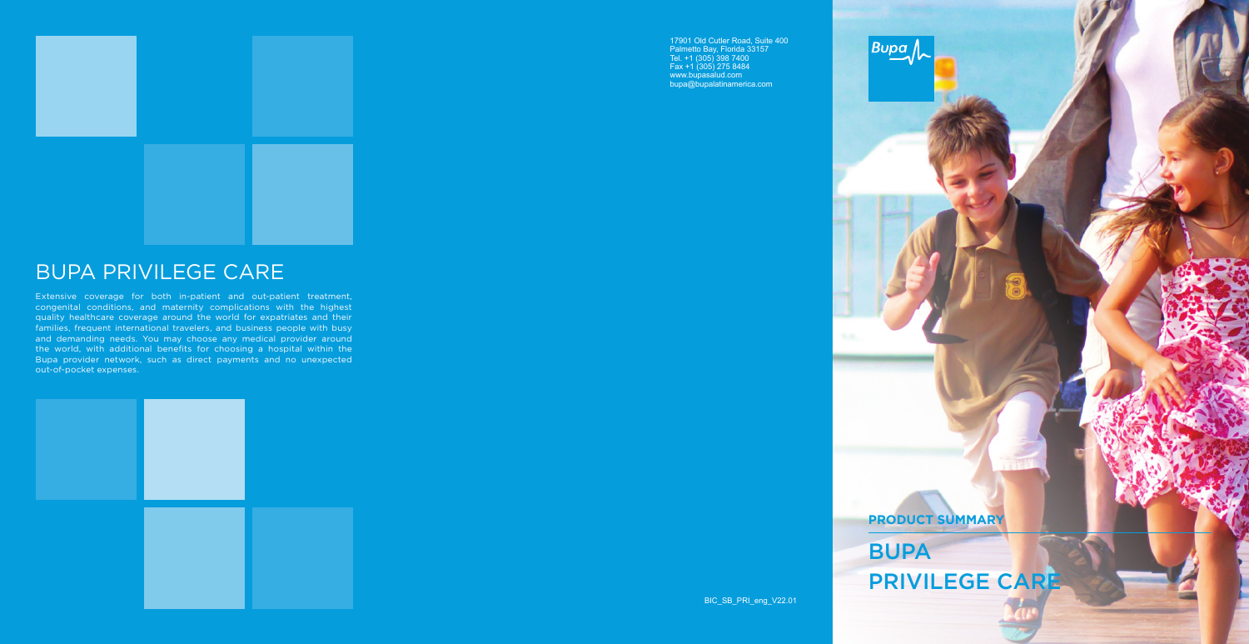# BUPA PRIVILEGE CARE

Extensive coverage for both in-patient and out-patient treatment, congenital conditions, and maternity complications with the highest quality healthcare coverage around the world for expatriates and their families, frequent international travelers, and business people with busy and demanding needs. You may choose any medical provider around the world, with additional benefits for choosing a hospital within the Bupa provider network, such as direct payments and no unexpected out-of-pocket expenses.



BIC\_SB\_PRI\_eng\_V22.01



17901 Old Cutler Road, Suite 400 Palmetto Bay, Florida 33157 Tel. +1 (305) 398 7400 Fax +1 (305) 275 8484 www.bupasalud.com bupa@bupalatinamerica.com



**PRODUCT SUMMARY** BUPA

PRIVILEGE CARE